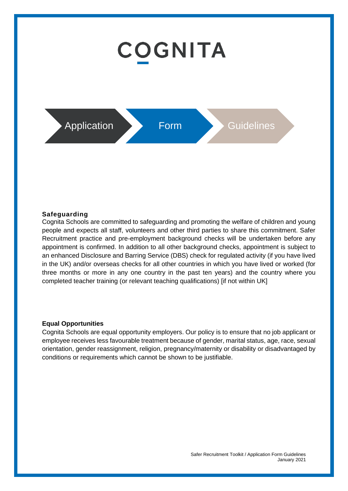# **COGNITA**



#### **Safeguarding**

Cognita Schools are committed to safeguarding and promoting the welfare of children and young people and expects all staff, volunteers and other third parties to share this commitment. Safer Recruitment practice and pre-employment background checks will be undertaken before any appointment is confirmed. In addition to all other background checks, appointment is subject to an enhanced Disclosure and Barring Service (DBS) check for regulated activity (if you have lived in the UK) and/or overseas checks for all other countries in which you have lived or worked (for three months or more in any one country in the past ten years) and the country where you completed teacher training (or relevant teaching qualifications) [if not within UK]

#### **Equal Opportunities**

Cognita Schools are equal opportunity employers. Our policy is to ensure that no job applicant or employee receives less favourable treatment because of gender, marital status, age, race, sexual orientation, gender reassignment, religion, pregnancy/maternity or disability or disadvantaged by conditions or requirements which cannot be shown to be justifiable.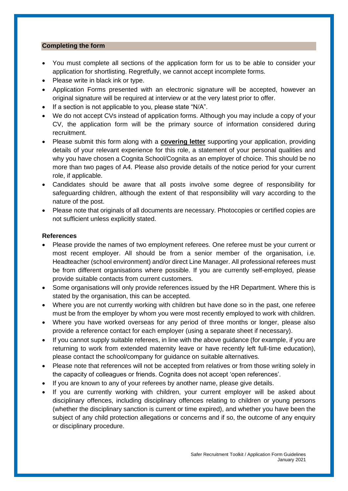#### **Completing the form**

- You must complete all sections of the application form for us to be able to consider your application for shortlisting. Regretfully, we cannot accept incomplete forms.
- Please write in black ink or type.
- Application Forms presented with an electronic signature will be accepted, however an original signature will be required at interview or at the very latest prior to offer.
- If a section is not applicable to you, please state "N/A".
- We do not accept CVs instead of application forms. Although you may include a copy of your CV, the application form will be the primary source of information considered during recruitment.
- Please submit this form along with a **covering letter** supporting your application, providing details of your relevant experience for this role, a statement of your personal qualities and why you have chosen a Cognita School/Cognita as an employer of choice. This should be no more than two pages of A4. Please also provide details of the notice period for your current role, if applicable.
- Candidates should be aware that all posts involve some degree of responsibility for safeguarding children, although the extent of that responsibility will vary according to the nature of the post.
- Please note that originals of all documents are necessary. Photocopies or certified copies are not sufficient unless explicitly stated.

# **References**

- Please provide the names of two employment referees. One referee must be your current or most recent employer. All should be from a senior member of the organisation, i.e. Headteacher (school environment) and/or direct Line Manager. All professional referees must be from different organisations where possible. If you are currently self-employed, please provide suitable contacts from current customers.
- Some organisations will only provide references issued by the HR Department. Where this is stated by the organisation, this can be accepted.
- Where you are not currently working with children but have done so in the past, one referee must be from the employer by whom you were most recently employed to work with children.
- Where you have worked overseas for any period of three months or longer, please also provide a reference contact for each employer (using a separate sheet if necessary).
- If you cannot supply suitable referees, in line with the above guidance (for example, if you are returning to work from extended maternity leave or have recently left full-time education), please contact the school/company for guidance on suitable alternatives.
- Please note that references will not be accepted from relatives or from those writing solely in the capacity of colleagues or friends. Cognita does not accept 'open references'.
- If you are known to any of your referees by another name, please give details.
- If you are currently working with children, your current employer will be asked about disciplinary offences, including disciplinary offences relating to children or young persons (whether the disciplinary sanction is current or time expired), and whether you have been the subject of any child protection allegations or concerns and if so, the outcome of any enquiry or disciplinary procedure.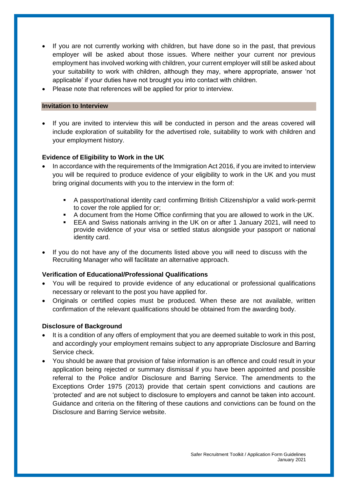- If you are not currently working with children, but have done so in the past, that previous employer will be asked about those issues. Where neither your current nor previous employment has involved working with children, your current employer will still be asked about your suitability to work with children, although they may, where appropriate, answer 'not applicable' if your duties have not brought you into contact with children.
- Please note that references will be applied for prior to interview.

#### **Invitation to Interview**

If you are invited to interview this will be conducted in person and the areas covered will include exploration of suitability for the advertised role, suitability to work with children and your employment history.

# **Evidence of Eligibility to Work in the UK**

- In accordance with the requirements of the Immigration Act 2016, if you are invited to interview you will be required to produce evidence of your eligibility to work in the UK and you must bring original documents with you to the interview in the form of:
	- A passport/national identity card confirming British Citizenship/or a valid work-permit to cover the role applied for or;
	- A document from the Home Office confirming that you are allowed to work in the UK.
	- EEA and Swiss nationals arriving in the UK on or after 1 January 2021, will need to provide evidence of your visa or settled status alongside your passport or national identity card.
- If you do not have any of the documents listed above you will need to discuss with the Recruiting Manager who will facilitate an alternative approach.

### **Verification of Educational/Professional Qualifications**

- You will be required to provide evidence of any educational or professional qualifications necessary or relevant to the post you have applied for.
- Originals or certified copies must be produced. When these are not available, written confirmation of the relevant qualifications should be obtained from the awarding body.

### **Disclosure of Background**

- It is a condition of any offers of employment that you are deemed suitable to work in this post, and accordingly your employment remains subject to any appropriate Disclosure and Barring Service check.
- You should be aware that provision of false information is an offence and could result in your application being rejected or summary dismissal if you have been appointed and possible referral to the Police and/or Disclosure and Barring Service. The amendments to the Exceptions Order 1975 (2013) provide that certain spent convictions and cautions are 'protected' and are not subject to disclosure to employers and cannot be taken into account. Guidance and criteria on the filtering of these cautions and convictions can be found on the Disclosure and Barring Service website.